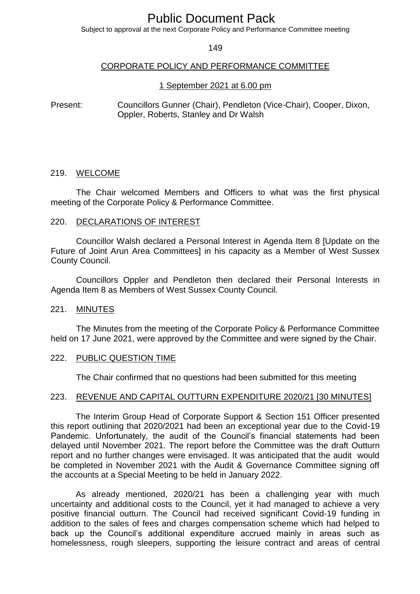# Public Document Pack

Subject to approval at the next Corporate Policy and Performance Committee meeting

149

## CORPORATE POLICY AND PERFORMANCE COMMITTEE

## 1 September 2021 at 6.00 pm

Present: Councillors Gunner (Chair), Pendleton (Vice-Chair), Cooper, Dixon, Oppler, Roberts, Stanley and Dr Walsh

#### 219. WELCOME

The Chair welcomed Members and Officers to what was the first physical meeting of the Corporate Policy & Performance Committee.

#### 220. DECLARATIONS OF INTEREST

Councillor Walsh declared a Personal Interest in Agenda Item 8 [Update on the Future of Joint Arun Area Committees] in his capacity as a Member of West Sussex County Council.

Councillors Oppler and Pendleton then declared their Personal Interests in Agenda Item 8 as Members of West Sussex County Council.

## 221. MINUTES

The Minutes from the meeting of the Corporate Policy & Performance Committee held on 17 June 2021, were approved by the Committee and were signed by the Chair.

#### 222. PUBLIC QUESTION TIME

The Chair confirmed that no questions had been submitted for this meeting

#### 223. REVENUE AND CAPITAL OUTTURN EXPENDITURE 2020/21 [30 MINUTES]

The Interim Group Head of Corporate Support & Section 151 Officer presented this report outlining that 2020/2021 had been an exceptional year due to the Covid-19 Pandemic. Unfortunately, the audit of the Council's financial statements had been delayed until November 2021. The report before the Committee was the draft Outturn report and no further changes were envisaged. It was anticipated that the audit would be completed in November 2021 with the Audit & Governance Committee signing off the accounts at a Special Meeting to be held in January 2022.

As already mentioned, 2020/21 has been a challenging year with much uncertainty and additional costs to the Council, yet it had managed to achieve a very positive financial outturn. The Council had received significant Covid-19 funding in addition to the sales of fees and charges compensation scheme which had helped to back up the Council's additional expenditure accrued mainly in areas such as homelessness, rough sleepers, supporting the leisure contract and areas of central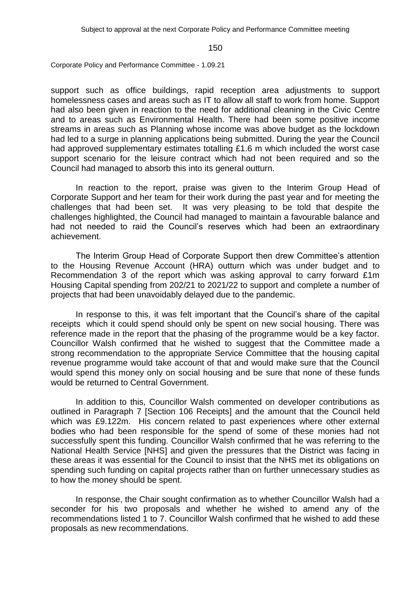Corporate Policy and Performance Committee - 1.09.21

support such as office buildings, rapid reception area adjustments to support homelessness cases and areas such as IT to allow all staff to work from home. Support had also been given in reaction to the need for additional cleaning in the Civic Centre and to areas such as Environmental Health. There had been some positive income streams in areas such as Planning whose income was above budget as the lockdown had led to a surge in planning applications being submitted. During the year the Council had approved supplementary estimates totalling £1.6 m which included the worst case support scenario for the leisure contract which had not been required and so the Council had managed to absorb this into its general outturn.

In reaction to the report, praise was given to the Interim Group Head of Corporate Support and her team for their work during the past year and for meeting the challenges that had been set. It was very pleasing to be told that despite the challenges highlighted, the Council had managed to maintain a favourable balance and had not needed to raid the Council's reserves which had been an extraordinary achievement.

The Interim Group Head of Corporate Support then drew Committee's attention to the Housing Revenue Account (HRA) outturn which was under budget and to Recommendation 3 of the report which was asking approval to carry forward £1m Housing Capital spending from 202/21 to 2021/22 to support and complete a number of projects that had been unavoidably delayed due to the pandemic.

In response to this, it was felt important that the Council's share of the capital receipts which it could spend should only be spent on new social housing. There was reference made in the report that the phasing of the programme would be a key factor. Councillor Walsh confirmed that he wished to suggest that the Committee made a strong recommendation to the appropriate Service Committee that the housing capital revenue programme would take account of that and would make sure that the Council would spend this money only on social housing and be sure that none of these funds would be returned to Central Government.

In addition to this, Councillor Walsh commented on developer contributions as outlined in Paragraph 7 [Section 106 Receipts] and the amount that the Council held which was £9.122m. His concern related to past experiences where other external bodies who had been responsible for the spend of some of these monies had not successfully spent this funding. Councillor Walsh confirmed that he was referring to the National Health Service [NHS] and given the pressures that the District was facing in these areas it was essential for the Council to insist that the NHS met its obligations on spending such funding on capital projects rather than on further unnecessary studies as to how the money should be spent.

In response, the Chair sought confirmation as to whether Councillor Walsh had a seconder for his two proposals and whether he wished to amend any of the recommendations listed 1 to 7. Councillor Walsh confirmed that he wished to add these proposals as new recommendations.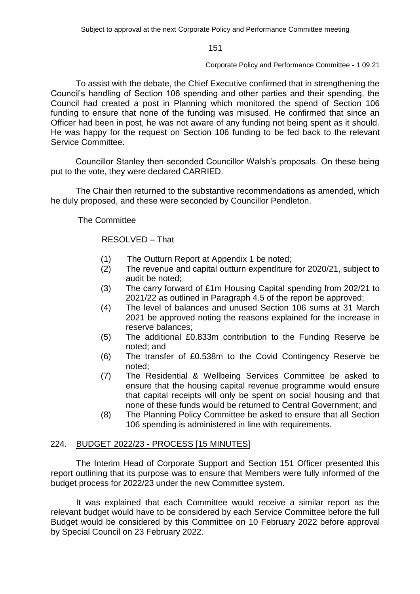#### Corporate Policy and Performance Committee - 1.09.21

To assist with the debate, the Chief Executive confirmed that in strengthening the Council's handling of Section 106 spending and other parties and their spending, the Council had created a post in Planning which monitored the spend of Section 106 funding to ensure that none of the funding was misused. He confirmed that since an Officer had been in post, he was not aware of any funding not being spent as it should. He was happy for the request on Section 106 funding to be fed back to the relevant Service Committee.

Councillor Stanley then seconded Councillor Walsh's proposals. On these being put to the vote, they were declared CARRIED.

The Chair then returned to the substantive recommendations as amended, which he duly proposed, and these were seconded by Councillor Pendleton.

The Committee

## RESOLVED – That

- (1) The Outturn Report at Appendix 1 be noted;
- (2) The revenue and capital outturn expenditure for 2020/21, subject to audit be noted;
- (3) The carry forward of £1m Housing Capital spending from 202/21 to 2021/22 as outlined in Paragraph 4.5 of the report be approved;
- (4) The level of balances and unused Section 106 sums at 31 March 2021 be approved noting the reasons explained for the increase in reserve balances;
- (5) The additional £0.833m contribution to the Funding Reserve be noted; and
- (6) The transfer of £0.538m to the Covid Contingency Reserve be noted;
- (7) The Residential & Wellbeing Services Committee be asked to ensure that the housing capital revenue programme would ensure that capital receipts will only be spent on social housing and that none of these funds would be returned to Central Government; and
- (8) The Planning Policy Committee be asked to ensure that all Section 106 spending is administered in line with requirements.

## 224. BUDGET 2022/23 - PROCESS [15 MINUTES]

The Interim Head of Corporate Support and Section 151 Officer presented this report outlining that its purpose was to ensure that Members were fully informed of the budget process for 2022/23 under the new Committee system.

It was explained that each Committee would receive a similar report as the relevant budget would have to be considered by each Service Committee before the full Budget would be considered by this Committee on 10 February 2022 before approval by Special Council on 23 February 2022.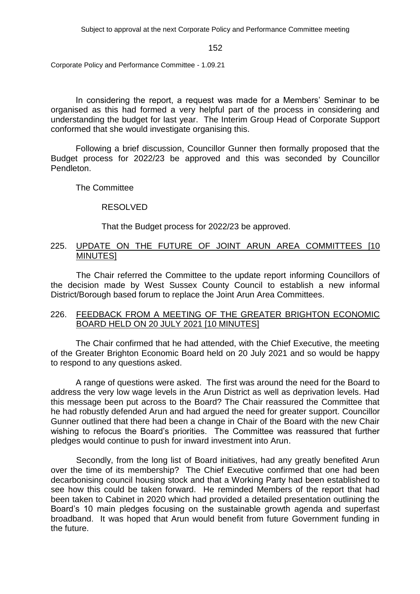Corporate Policy and Performance Committee - 1.09.21

In considering the report, a request was made for a Members' Seminar to be organised as this had formed a very helpful part of the process in considering and understanding the budget for last year. The Interim Group Head of Corporate Support conformed that she would investigate organising this.

Following a brief discussion, Councillor Gunner then formally proposed that the Budget process for 2022/23 be approved and this was seconded by Councillor Pendleton.

The Committee

## RESOLVED

That the Budget process for 2022/23 be approved.

## 225. UPDATE ON THE FUTURE OF JOINT ARUN AREA COMMITTEES [10 MINUTES]

The Chair referred the Committee to the update report informing Councillors of the decision made by West Sussex County Council to establish a new informal District/Borough based forum to replace the Joint Arun Area Committees.

## 226. FEEDBACK FROM A MEETING OF THE GREATER BRIGHTON ECONOMIC BOARD HELD ON 20 JULY 2021 [10 MINUTES]

The Chair confirmed that he had attended, with the Chief Executive, the meeting of the Greater Brighton Economic Board held on 20 July 2021 and so would be happy to respond to any questions asked.

A range of questions were asked. The first was around the need for the Board to address the very low wage levels in the Arun District as well as deprivation levels. Had this message been put across to the Board? The Chair reassured the Committee that he had robustly defended Arun and had argued the need for greater support. Councillor Gunner outlined that there had been a change in Chair of the Board with the new Chair wishing to refocus the Board's priorities. The Committee was reassured that further pledges would continue to push for inward investment into Arun.

Secondly, from the long list of Board initiatives, had any greatly benefited Arun over the time of its membership? The Chief Executive confirmed that one had been decarbonising council housing stock and that a Working Party had been established to see how this could be taken forward. He reminded Members of the report that had been taken to Cabinet in 2020 which had provided a detailed presentation outlining the Board's 10 main pledges focusing on the sustainable growth agenda and superfast broadband. It was hoped that Arun would benefit from future Government funding in the future.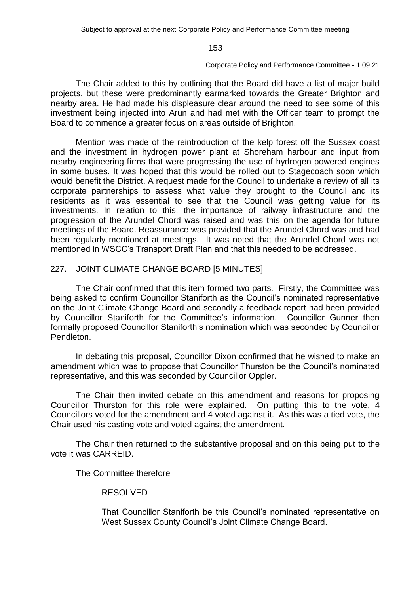#### Corporate Policy and Performance Committee - 1.09.21

The Chair added to this by outlining that the Board did have a list of major build projects, but these were predominantly earmarked towards the Greater Brighton and nearby area. He had made his displeasure clear around the need to see some of this investment being injected into Arun and had met with the Officer team to prompt the Board to commence a greater focus on areas outside of Brighton.

Mention was made of the reintroduction of the kelp forest off the Sussex coast and the investment in hydrogen power plant at Shoreham harbour and input from nearby engineering firms that were progressing the use of hydrogen powered engines in some buses. It was hoped that this would be rolled out to Stagecoach soon which would benefit the District. A request made for the Council to undertake a review of all its corporate partnerships to assess what value they brought to the Council and its residents as it was essential to see that the Council was getting value for its investments. In relation to this, the importance of railway infrastructure and the progression of the Arundel Chord was raised and was this on the agenda for future meetings of the Board. Reassurance was provided that the Arundel Chord was and had been regularly mentioned at meetings. It was noted that the Arundel Chord was not mentioned in WSCC's Transport Draft Plan and that this needed to be addressed.

## 227. JOINT CLIMATE CHANGE BOARD [5 MINUTES]

The Chair confirmed that this item formed two parts. Firstly, the Committee was being asked to confirm Councillor Staniforth as the Council's nominated representative on the Joint Climate Change Board and secondly a feedback report had been provided by Councillor Staniforth for the Committee's information. Councillor Gunner then formally proposed Councillor Staniforth's nomination which was seconded by Councillor Pendleton.

In debating this proposal, Councillor Dixon confirmed that he wished to make an amendment which was to propose that Councillor Thurston be the Council's nominated representative, and this was seconded by Councillor Oppler.

The Chair then invited debate on this amendment and reasons for proposing Councillor Thurston for this role were explained. On putting this to the vote, 4 Councillors voted for the amendment and 4 voted against it. As this was a tied vote, the Chair used his casting vote and voted against the amendment.

The Chair then returned to the substantive proposal and on this being put to the vote it was CARREID.

## The Committee therefore

## RESOLVED

That Councillor Staniforth be this Council's nominated representative on West Sussex County Council's Joint Climate Change Board.